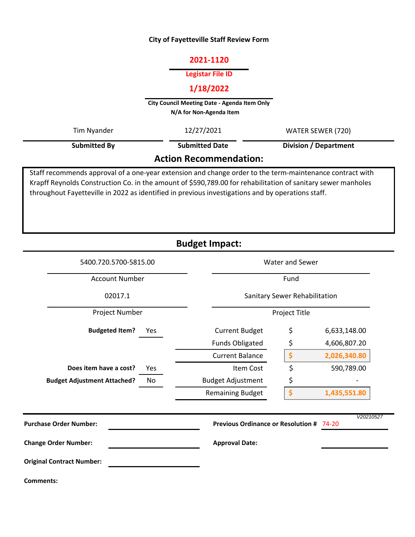### **City of Fayetteville Staff Review Form**

## **2021-1120**

### **Legistar File ID**

# **1/18/2022**

**City Council Meeting Date - Agenda Item Only N/A for Non-Agenda Item** 

| Tim Nyander                                                                                              | 12/27/2021            | WATER SEWER (720)            |  |  |  |  |  |
|----------------------------------------------------------------------------------------------------------|-----------------------|------------------------------|--|--|--|--|--|
| <b>Submitted By</b>                                                                                      | <b>Submitted Date</b> | <b>Division / Department</b> |  |  |  |  |  |
| <b>Action Recommendation:</b>                                                                            |                       |                              |  |  |  |  |  |
| Staff recommends approval of a one-year extension and change order to the term-maintenance contract with |                       |                              |  |  |  |  |  |

Krapff Reynolds Construction Co. in the amount of \$590,789.00 for rehabilitation of sanitary sewer manholes throughout Fayetteville in 2022 as identified in previous investigations and by operations staff.

**Budget Impact:**

| 5400.720.5700-5815.00              |     | <b>Water and Sewer</b>                   |               |              |  |  |  |  |  |  |
|------------------------------------|-----|------------------------------------------|---------------|--------------|--|--|--|--|--|--|
| <b>Account Number</b>              |     |                                          |               | Fund         |  |  |  |  |  |  |
| 02017.1                            |     | Sanitary Sewer Rehabilitation            |               |              |  |  |  |  |  |  |
| Project Number                     |     |                                          | Project Title |              |  |  |  |  |  |  |
| <b>Budgeted Item?</b>              | Yes | <b>Current Budget</b>                    | \$            | 6,633,148.00 |  |  |  |  |  |  |
|                                    |     | <b>Funds Obligated</b>                   | \$            | 4,606,807.20 |  |  |  |  |  |  |
|                                    |     | <b>Current Balance</b>                   | \$            | 2,026,340.80 |  |  |  |  |  |  |
| Does item have a cost?             | Yes | Item Cost                                | \$            | 590,789.00   |  |  |  |  |  |  |
| <b>Budget Adjustment Attached?</b> | No  | <b>Budget Adjustment</b>                 | \$            |              |  |  |  |  |  |  |
|                                    |     | <b>Remaining Budget</b>                  | \$            | 1,435,551.80 |  |  |  |  |  |  |
| <b>Purchase Order Number:</b>      |     | Previous Ordinance or Resolution # 74-20 |               | V20210527    |  |  |  |  |  |  |
| <b>Change Order Number:</b>        |     | <b>Approval Date:</b>                    |               |              |  |  |  |  |  |  |
| <b>Original Contract Number:</b>   |     |                                          |               |              |  |  |  |  |  |  |
| <b>Comments:</b>                   |     |                                          |               |              |  |  |  |  |  |  |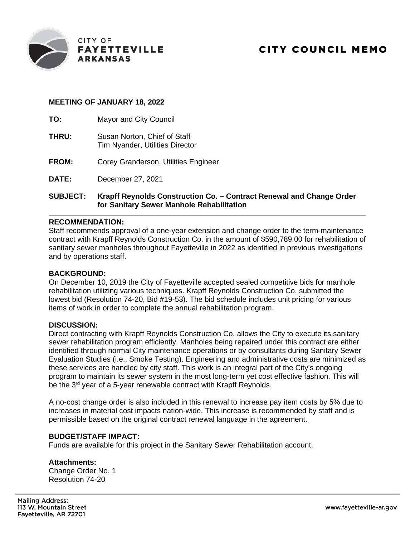

## **MEETING OF JANUARY 18, 2022**

**TO:** Mayor and City Council

- **THRU:** Susan Norton, Chief of Staff Tim Nyander, Utilities Director
- **FROM:** Corey Granderson, Utilities Engineer
- **DATE:** December 27, 2021

## **SUBJECT: Krapff Reynolds Construction Co. – Contract Renewal and Change Order for Sanitary Sewer Manhole Rehabilitation**

### **RECOMMENDATION:**

Staff recommends approval of a one-year extension and change order to the term-maintenance contract with Krapff Reynolds Construction Co. in the amount of \$590,789.00 for rehabilitation of sanitary sewer manholes throughout Fayetteville in 2022 as identified in previous investigations and by operations staff.

#### **BACKGROUND:**

On December 10, 2019 the City of Fayetteville accepted sealed competitive bids for manhole rehabilitation utilizing various techniques. Krapff Reynolds Construction Co. submitted the lowest bid (Resolution 74-20, Bid #19-53). The bid schedule includes unit pricing for various items of work in order to complete the annual rehabilitation program.

### **DISCUSSION:**

Direct contracting with Krapff Reynolds Construction Co. allows the City to execute its sanitary sewer rehabilitation program efficiently. Manholes being repaired under this contract are either identified through normal City maintenance operations or by consultants during Sanitary Sewer Evaluation Studies (i.e., Smoke Testing). Engineering and administrative costs are minimized as these services are handled by city staff. This work is an integral part of the City's ongoing program to maintain its sewer system in the most long-term yet cost effective fashion. This will be the 3<sup>rd</sup> year of a 5-year renewable contract with Krapff Reynolds.

A no-cost change order is also included in this renewal to increase pay item costs by 5% due to increases in material cost impacts nation-wide. This increase is recommended by staff and is permissible based on the original contract renewal language in the agreement.

### **BUDGET/STAFF IMPACT:**

Funds are available for this project in the Sanitary Sewer Rehabilitation account.

#### **Attachments:**

Change Order No. 1 Resolution 74-20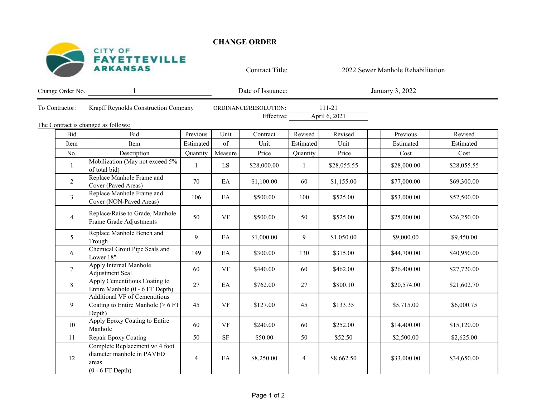

**CHANGE ORDER** 

Contract Title:

2022 Sewer Manhole Rehabilitation

| Change Order No.                    |                                                                                            |                |           | Date of Issuance:                   |                |                         |  | January 3, 2022 |             |
|-------------------------------------|--------------------------------------------------------------------------------------------|----------------|-----------|-------------------------------------|----------------|-------------------------|--|-----------------|-------------|
| To Contractor:                      | Krapff Reynolds Construction Company                                                       |                |           | ORDINANCE/RESOLUTION:<br>Effective: |                | 111-21<br>April 6, 2021 |  |                 |             |
| The Contract is changed as follows: |                                                                                            |                |           |                                     |                |                         |  |                 |             |
| Bid                                 | Bid                                                                                        | Previous       | Unit      | Contract                            | Revised        | Revised                 |  | Previous        | Revised     |
| Item                                | Item                                                                                       | Estimated      | of        | Unit                                | Estimated      | Unit                    |  | Estimated       | Estimated   |
| No.                                 | Description                                                                                | Quantity       | Measure   | Price                               | Quantity       | Price                   |  | Cost            | Cost        |
| -1                                  | Mobilization (May not exceed 5%<br>of total bid)                                           |                | LS        | \$28,000.00                         | -1             | \$28,055.55             |  | \$28,000.00     | \$28,055.55 |
| 2                                   | Replace Manhole Frame and<br>Cover (Paved Areas)                                           | 70             | EA        | \$1,100.00                          | 60             | \$1,155.00              |  | \$77,000.00     | \$69,300.00 |
| $\mathfrak{Z}$                      | Replace Manhole Frame and<br>Cover (NON-Paved Areas)                                       | 106            | EA        | \$500.00                            | 100            | \$525.00                |  | \$53,000.00     | \$52,500.00 |
| $\overline{4}$                      | Replace/Raise to Grade, Manhole<br>Frame Grade Adjustments                                 | 50             | VF        | \$500.00                            | 50             | \$525.00                |  | \$25,000.00     | \$26,250.00 |
| 5 <sup>5</sup>                      | Replace Manhole Bench and<br>Trough                                                        | 9              | EA        | \$1,000.00                          | 9              | \$1,050.00              |  | \$9,000.00      | \$9,450.00  |
| 6                                   | Chemical Grout Pipe Seals and<br>Lower 18"                                                 | 149            | EA        | \$300.00                            | 130            | \$315.00                |  | \$44,700.00     | \$40,950.00 |
| $7\phantom{.0}$                     | Apply Internal Manhole<br>Adjustment Seal                                                  | 60             | $\rm{VF}$ | \$440.00                            | 60             | \$462.00                |  | \$26,400.00     | \$27,720.00 |
| 8                                   | Apply Cementitious Coating to<br>Entire Manhole (0 - 6 FT Depth)                           | 27             | EA        | \$762.00                            | 27             | \$800.10                |  | \$20,574.00     | \$21,602.70 |
| 9                                   | <b>Additional VF of Cementitious</b><br>Coating to Entire Manhole (> 6 FT<br>Depth)        | 45             | $\rm{VF}$ | \$127.00                            | 45             | \$133.35                |  | \$5,715.00      | \$6,000.75  |
| 10                                  | Apply Epoxy Coating to Entire<br>Manhole                                                   | 60             | VF        | \$240.00                            | 60             | \$252.00                |  | \$14,400.00     | \$15,120.00 |
| 11                                  | Repair Epoxy Coating                                                                       | 50             | $\rm{SF}$ | \$50.00                             | 50             | \$52.50                 |  | \$2,500.00      | \$2,625.00  |
| 12                                  | Complete Replacement w/ 4 foot<br>diameter manhole in PAVED<br>areas<br>$(0 - 6$ FT Depth) | $\overline{4}$ | EA        | \$8,250.00                          | $\overline{4}$ | \$8,662.50              |  | \$33,000.00     | \$34,650.00 |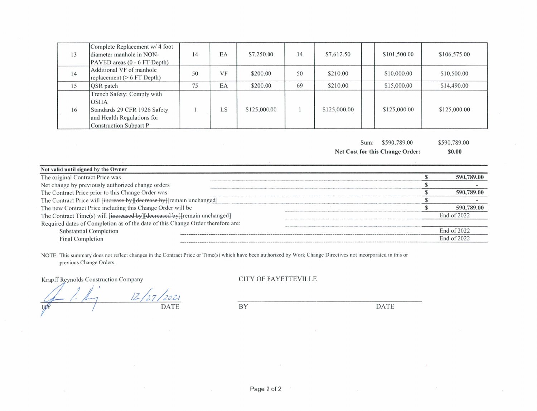| 13 | Complete Replacement w/ 4 foot<br>diameter manhole in NON-<br>PAVED areas (0 - 6 FT Depth)                                        | 14 | EA | \$7,250.00   | 14 | \$7,612.50   | \$101,500.00 | \$106,575.00 |
|----|-----------------------------------------------------------------------------------------------------------------------------------|----|----|--------------|----|--------------|--------------|--------------|
| 14 | Additional VF of manhole<br>replacement ( $> 6$ FT Depth)                                                                         | 50 | VF | \$200.00     | 50 | \$210.00     | \$10,000.00  | \$10,500.00  |
| 15 | <b>OSR</b> patch                                                                                                                  | 75 | EA | \$200.00     | 69 | \$210.00     | \$15,000.00  | \$14,490.00  |
| 16 | Trench Safety; Comply with<br><b>OSHA</b><br>Standards 29 CFR 1926 Safety<br>and Health Regulations for<br>Construction Subpart P |    | LS | \$125,000.00 |    | \$125,000.00 | \$125,000.00 | \$125,000.00 |

Sum: \$590,789.00

\$590,789.00

Net Cost for this Change Order:

 $$0.00$ 

| Not valid until signed by the Owner                                              |             |
|----------------------------------------------------------------------------------|-------------|
| The original Contract Price was                                                  |             |
| Net change by previously authorized change orders                                |             |
| The Contract Price prior to this Change Order was                                | 390 789 M   |
| The Contract Price will <del>[increase by][decrease by]</del> [remain unchanged] |             |
| The new Contract Price including this Change Order will be                       | 590.789.00  |
| The Contract Time(s) will [increased by][decreased by][remain unchanged]         | Fnd of 2022 |
| Required dates of Completion as of the date of this Change Order therefore are:  |             |
| <b>Substantial Completion</b>                                                    | End of 2022 |
| Final Completion                                                                 | End of 2022 |

NOTE: This summary does not reflect changes in the Contract Price or Time(s) which have been authorized by Work Change Directives not incorporated in this or previous Change Orders.

Krapff Reynolds Construction Company

 $12/27$ 202 **DATE**  $B\triangle$ 

**CITY OF FAYETTEVILLE** 

 $\overline{BY}$ 

**DATE**